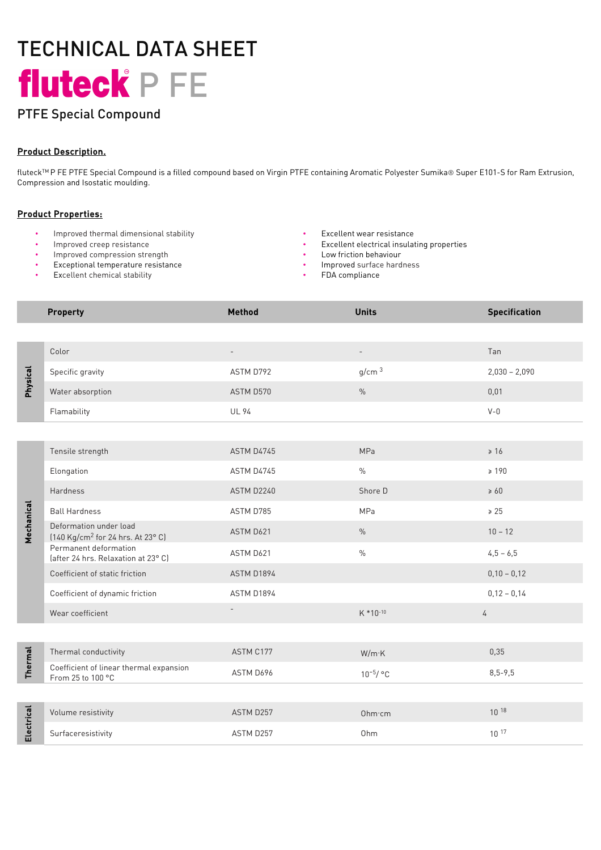# TECHNICAL DATA SHEET fluteck<sup>e</sup> P FE

# PTFE Special Compound

### Product Description.

fluteck<sup>TM</sup>P FE PTFE Special Compound is a filled compound based on Virgin PTFE containing Aromatic Polyester Sumika® Super E101-S for Ram Extrusion, Compression and Isostatic moulding.

#### Product Properties:

- Improved thermal dimensional stability Excellent wear resistance
- 
- Improved compression strength
- Exceptional temperature resistance
- **Excellent chemical stability**
- 
- Excellent electrical insulating properties
- Low friction behaviour
- Improved surface hardness
- FDA compliance

|                | <b>Property</b>                                                         | <b>Method</b>            | <b>Units</b>             | <b>Specification</b> |
|----------------|-------------------------------------------------------------------------|--------------------------|--------------------------|----------------------|
|                |                                                                         |                          |                          |                      |
| Physical       | Color                                                                   | $\overline{\phantom{a}}$ | $\overline{\phantom{a}}$ | Tan                  |
|                | Specific gravity                                                        | ASTM D792                | g/cm <sup>3</sup>        | $2,030 - 2,090$      |
|                | Water absorption                                                        | ASTM D570                | $\%$                     | 0,01                 |
|                | Flamability                                                             | <b>UL 94</b>             |                          | $V - 0$              |
|                |                                                                         |                          |                          |                      |
| Mechanical     | Tensile strength                                                        | ASTM D4745               | MPa                      | $\geq 16$            |
|                | Elongation                                                              | ASTM D4745               | $\%$                     | $\geq 190$           |
|                | Hardness                                                                | ASTM D2240               | Shore D                  | $\geq 60$            |
|                | <b>Ball Hardness</b>                                                    | ASTM D785                | MPa                      | $\geq 25$            |
|                | Deformation under load<br>(140 Kg/cm <sup>2</sup> for 24 hrs. At 23° C) | ASTM D621                | $\%$                     | $10 - 12$            |
|                | Permanent deformation<br>(after 24 hrs. Relaxation at 23° C)            | ASTM D621                | $\%$                     | $4,5 - 6,5$          |
|                | Coefficient of static friction                                          | ASTM D1894               |                          | $0,10 - 0,12$        |
|                | Coefficient of dynamic friction                                         | ASTM D1894               |                          | $0,12 - 0,14$        |
|                | Wear coefficient                                                        | $\overline{\phantom{a}}$ | K *10-10                 | 4                    |
|                |                                                                         |                          |                          |                      |
| <b>Thermal</b> | Thermal conductivity                                                    | ASTM C177                | W/m K                    | 0,35                 |
|                | Coefficient of linear thermal expansion<br>From 25 to 100 °C            | ASTM D696                | $10^{-5}/$ °C            | $8,5-9,5$            |
|                |                                                                         |                          |                          |                      |
| Electrical     | Volume resistivity                                                      | ASTM D257                | Ohm·cm                   | $10^{18}$            |
|                | Surfaceresistivity                                                      | ASTM D257                | Ohm                      | $10^{17}$            |
|                |                                                                         |                          |                          |                      |
|                |                                                                         |                          |                          |                      |
|                |                                                                         |                          |                          |                      |
|                |                                                                         |                          |                          |                      |